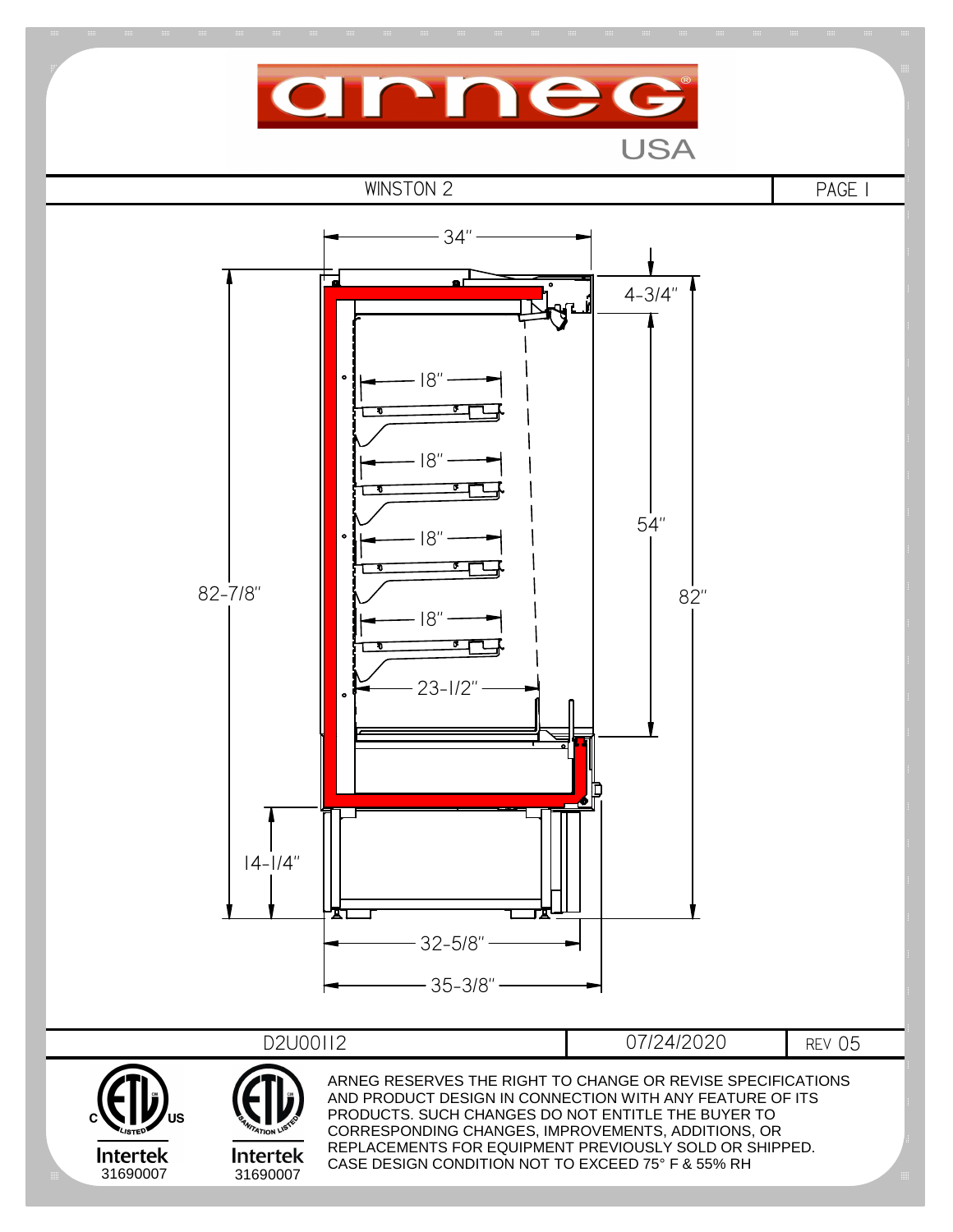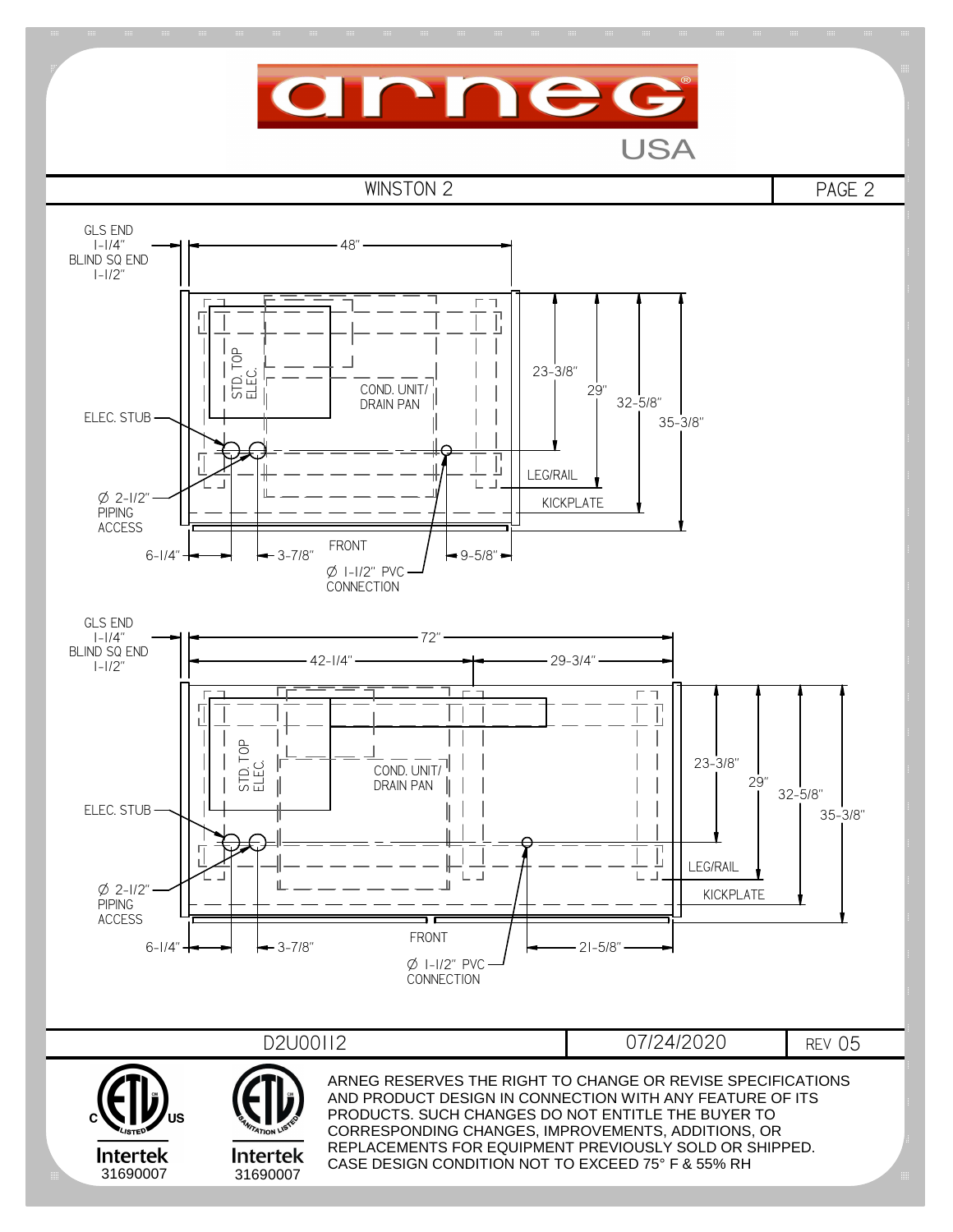

**USA**